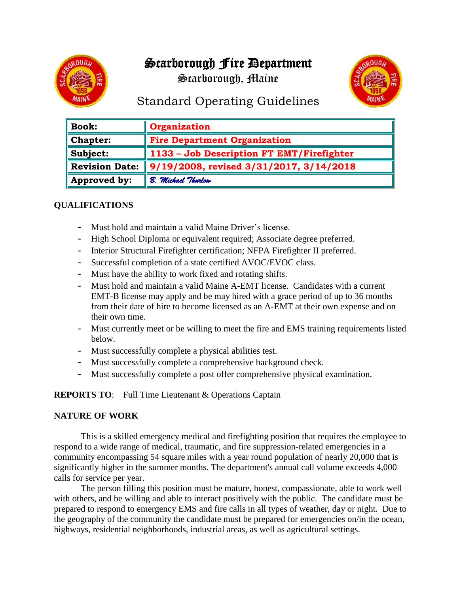# Scarborough Fire Department

Scarborough, Maine



## Standard Operating Guidelines

| <b>Book:</b>          | <b>Organization</b>                       |
|-----------------------|-------------------------------------------|
| <b>Chapter:</b>       | <b>Fire Department Organization</b>       |
| Subject:              | 1133 - Job Description FT EMT/Firefighter |
| <b>Revision Date:</b> | 9/19/2008, revised 3/31/2017, 3/14/2018   |
| Approved by:          | B. Michael Thurlow                        |

## **QUALIFICATIONS**

- Must hold and maintain a valid Maine Driver's license.
- High School Diploma or equivalent required; Associate degree preferred.
- Interior Structural Firefighter certification; NFPA Firefighter II preferred.
- Successful completion of a state certified AVOC/EVOC class.
- Must have the ability to work fixed and rotating shifts.
- Must hold and maintain a valid Maine A-EMT license. Candidates with a current EMT-B license may apply and be may hired with a grace period of up to 36 months from their date of hire to become licensed as an A-EMT at their own expense and on their own time.
- Must currently meet or be willing to meet the fire and EMS training requirements listed below.
- Must successfully complete a physical abilities test.
- Must successfully complete a comprehensive background check.
- Must successfully complete a post offer comprehensive physical examination.

**REPORTS TO**: Full Time Lieutenant & Operations Captain

#### **NATURE OF WORK**

This is a skilled emergency medical and firefighting position that requires the employee to respond to a wide range of medical, traumatic, and fire suppression-related emergencies in a community encompassing 54 square miles with a year round population of nearly 20,000 that is significantly higher in the summer months. The department's annual call volume exceeds 4,000 calls for service per year.

The person filling this position must be mature, honest, compassionate, able to work well with others, and be willing and able to interact positively with the public. The candidate must be prepared to respond to emergency EMS and fire calls in all types of weather, day or night. Due to the geography of the community the candidate must be prepared for emergencies on/in the ocean, highways, residential neighborhoods, industrial areas, as well as agricultural settings.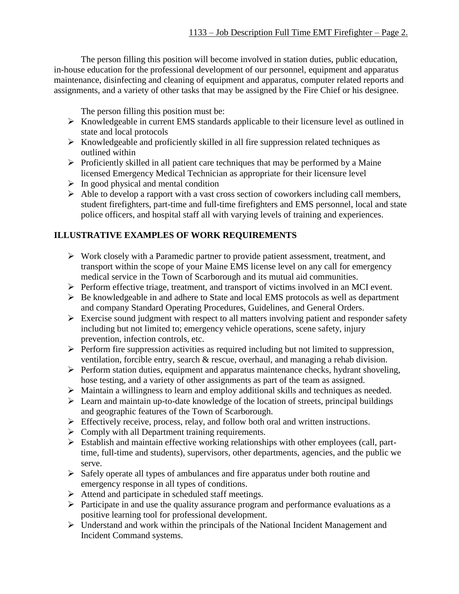The person filling this position will become involved in station duties, public education, in-house education for the professional development of our personnel, equipment and apparatus maintenance, disinfecting and cleaning of equipment and apparatus, computer related reports and assignments, and a variety of other tasks that may be assigned by the Fire Chief or his designee.

The person filling this position must be:

- ➢ Knowledgeable in current EMS standards applicable to their licensure level as outlined in state and local protocols
- $\triangleright$  Knowledgeable and proficiently skilled in all fire suppression related techniques as outlined within
- ➢ Proficiently skilled in all patient care techniques that may be performed by a Maine licensed Emergency Medical Technician as appropriate for their licensure level
- $\triangleright$  In good physical and mental condition
- ➢ Able to develop a rapport with a vast cross section of coworkers including call members, student firefighters, part-time and full-time firefighters and EMS personnel, local and state police officers, and hospital staff all with varying levels of training and experiences.

## **ILLUSTRATIVE EXAMPLES OF WORK REQUIREMENTS**

- ➢ Work closely with a Paramedic partner to provide patient assessment, treatment, and transport within the scope of your Maine EMS license level on any call for emergency medical service in the Town of Scarborough and its mutual aid communities.
- ➢ Perform effective triage, treatment, and transport of victims involved in an MCI event.
- ➢ Be knowledgeable in and adhere to State and local EMS protocols as well as department and company Standard Operating Procedures, Guidelines, and General Orders.
- $\triangleright$  Exercise sound judgment with respect to all matters involving patient and responder safety including but not limited to; emergency vehicle operations, scene safety, injury prevention, infection controls, etc.
- ➢ Perform fire suppression activities as required including but not limited to suppression, ventilation, forcible entry, search & rescue, overhaul, and managing a rehab division.
- ➢ Perform station duties, equipment and apparatus maintenance checks, hydrant shoveling, hose testing, and a variety of other assignments as part of the team as assigned.
- ➢ Maintain a willingness to learn and employ additional skills and techniques as needed.
- ➢ Learn and maintain up-to-date knowledge of the location of streets, principal buildings and geographic features of the Town of Scarborough.
- $\triangleright$  Effectively receive, process, relay, and follow both oral and written instructions.
- $\triangleright$  Comply with all Department training requirements.
- ➢ Establish and maintain effective working relationships with other employees (call, parttime, full-time and students), supervisors, other departments, agencies, and the public we serve.
- ➢ Safely operate all types of ambulances and fire apparatus under both routine and emergency response in all types of conditions.
- ➢ Attend and participate in scheduled staff meetings.
- ➢ Participate in and use the quality assurance program and performance evaluations as a positive learning tool for professional development.
- ➢ Understand and work within the principals of the National Incident Management and Incident Command systems.